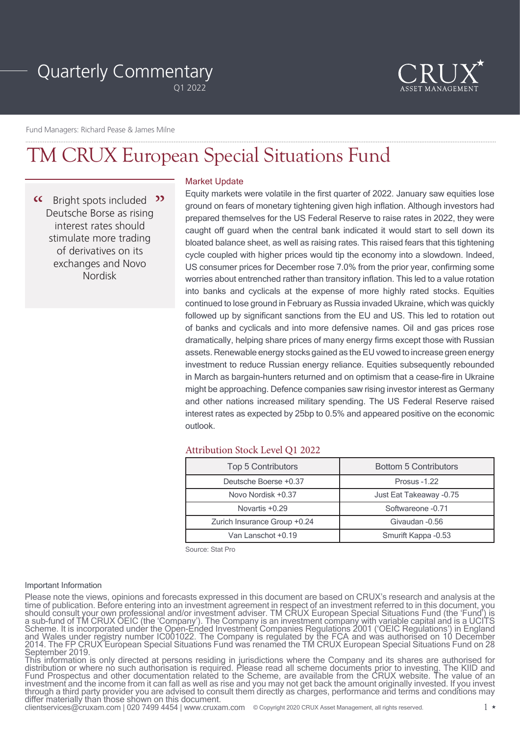# Quarterly Commentary

Q1 2022



Fund Managers: Richard Pease & James Milne

# TM CRUX European Special Situations Fund

 $\alpha$ Bright spots included <sup>22</sup> Deutsche Borse as rising interest rates should stimulate more trading of derivatives on its exchanges and Novo Nordisk

# Market Update

Equity markets were volatile in the first quarter of 2022. January saw equities lose ground on fears of monetary tightening given high inflation. Although investors had prepared themselves for the US Federal Reserve to raise rates in 2022, they were caught off guard when the central bank indicated it would start to sell down its bloated balance sheet, as well as raising rates. This raised fears that this tightening cycle coupled with higher prices would tip the economy into a slowdown. Indeed, US consumer prices for December rose 7.0% from the prior year, confirming some worries about entrenched rather than transitory inflation. This led to a value rotation into banks and cyclicals at the expense of more highly rated stocks. Equities continued to lose ground in February as Russia invaded Ukraine, which was quickly followed up by significant sanctions from the EU and US. This led to rotation out of banks and cyclicals and into more defensive names. Oil and gas prices rose dramatically, helping share prices of many energy firms except those with Russian assets. Renewable energy stocks gained as the EU vowed to increase green energy investment to reduce Russian energy reliance. Equities subsequently rebounded in March as bargain-hunters returned and on optimism that a cease-fire in Ukraine might be approaching. Defence companies saw rising investor interest as Germany and other nations increased military spending. The US Federal Reserve raised interest rates as expected by 25bp to 0.5% and appeared positive on the economic outlook.

# Attribution Stock Level Q1 2022

| <b>Top 5 Contributors</b>    | <b>Bottom 5 Contributors</b> |
|------------------------------|------------------------------|
| Deutsche Boerse +0.37        | <b>Prosus -1.22</b>          |
| Novo Nordisk +0.37           | Just Eat Takeaway -0.75      |
| Novartis +0.29               | Softwareone -0.71            |
| Zurich Insurance Group +0.24 | Givaudan - 0.56              |
| Van Lanschot +0.19           | Smurift Kappa - 0.53         |

Source: Stat Pro

#### Important Information

Please note the views, opinions and forecasts expressed in this document are based on CRUX's research and analysis at the time of publication. Before entering into an investment agreement in respect of an investment referred to in this document, you should consult your own professional and/or investment adviser. TM CRUX European Special Situations Fund (the 'Fund') is a sub-fund of TM CRUX OEIC (the 'Company'). The Company is an investment company with variable capital and is a UCITS Scheme. It is incorporated under the Open-Ended Investment Companies Regulations 2001 ('OEIC Regulations') in England and Wales under registry number IC001022. The Company is regulated by the FCA and was authorised on 10 December 2014. The FP CRUX European Special Situations Fund was renamed the TM CRUX European Special Situations Fund on 28 September 2019.

This information is only directed at persons residing in jurisdictions where the Company and its shares are authorised for distribution or where no such authorisation is required. Please read all scheme documents prior to investing. The KIID and Fund Prospectus and other documentation related to the Scheme, are available from the CRUX website. The value of an investment and the income from it can fall as well as rise and you may not get back the amount originally invested. If you invest through a third party provider you are advised to consult them directly as charges, performance and terms and conditions may differ materially than those shown on this document.

clientservices@cruxam.com | 020 7499 4454 | www.cruxam.com 1 © Copyright 2020 CRUX Asset Management, all rights reserved.